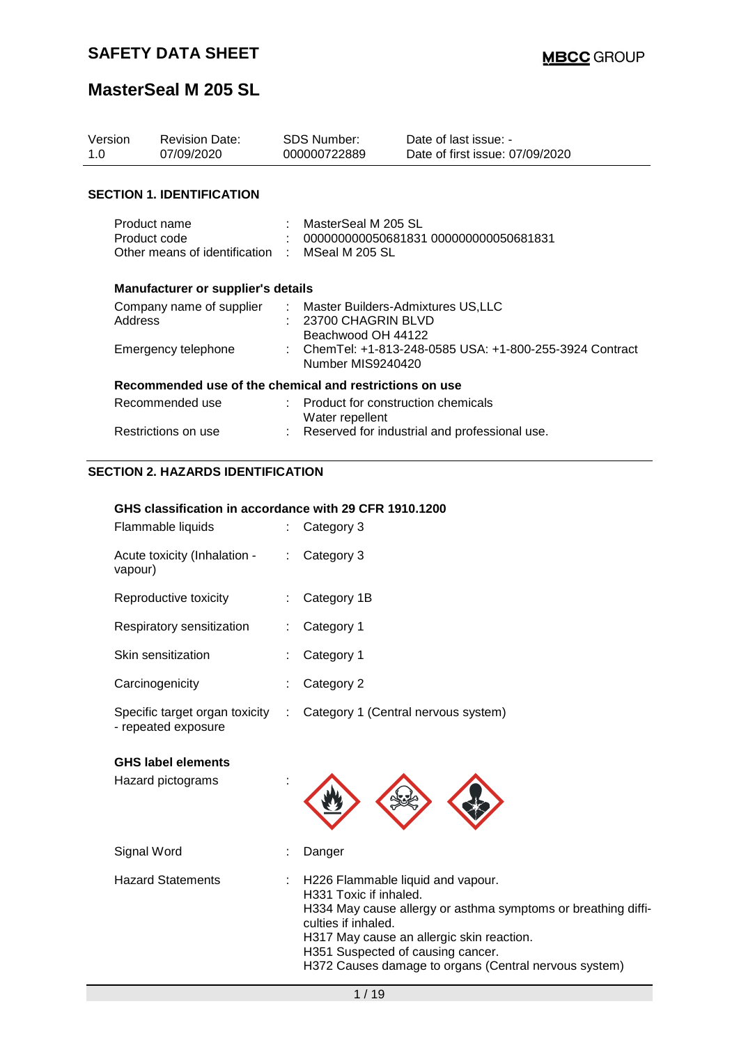| Version<br>1.0                                                                 | <b>Revision Date:</b><br>07/09/2020                           |  | <b>SDS Number:</b><br>000000722889                                | Date of last issue: -<br>Date of first issue: 07/09/2020 |
|--------------------------------------------------------------------------------|---------------------------------------------------------------|--|-------------------------------------------------------------------|----------------------------------------------------------|
|                                                                                | <b>SECTION 1. IDENTIFICATION</b>                              |  |                                                                   |                                                          |
| Product name<br>Product code<br>Other means of identification : MSeal M 205 SL |                                                               |  | : MasterSeal M 205 SL<br>$: 000000000050681831000000000050681831$ |                                                          |
|                                                                                | <b>Manufacturer or supplier's details</b>                     |  |                                                                   |                                                          |
| Address                                                                        | Company name of supplier : Master Builders-Admixtures US, LLC |  | : 23700 CHAGRIN BLVD<br>Beachwood OH 44122                        |                                                          |
|                                                                                | Emergency telephone                                           |  | Number MIS9240420                                                 | : ChemTel: +1-813-248-0585 USA: +1-800-255-3924 Contract |
|                                                                                | Recommended use of the chemical and restrictions on use       |  |                                                                   |                                                          |
|                                                                                | Recommended use                                               |  | : Product for construction chemicals<br>Water repellent           |                                                          |
|                                                                                | Restrictions on use                                           |  |                                                                   | Reserved for industrial and professional use.            |

### **SECTION 2. HAZARDS IDENTIFICATION**

#### **GHS classification in accordance with 29 CFR 1910.1200**

| Flammable liquids                                     |    | Category 3                          |
|-------------------------------------------------------|----|-------------------------------------|
| Acute toxicity (Inhalation -<br>vapour)               | t. | Category 3                          |
| Reproductive toxicity                                 |    | Category 1B                         |
| Respiratory sensitization                             | ÷. | Category 1                          |
| Skin sensitization                                    |    | Category 1                          |
| Carcinogenicity                                       |    | Category 2                          |
| Specific target organ toxicity<br>- repeated exposure | ÷. | Category 1 (Central nervous system) |
|                                                       |    |                                     |

### **GHS label elements**

| Hazard pictograms        |                                                                                                                                                                                                                                                                                                |
|--------------------------|------------------------------------------------------------------------------------------------------------------------------------------------------------------------------------------------------------------------------------------------------------------------------------------------|
| Signal Word              | Danger                                                                                                                                                                                                                                                                                         |
| <b>Hazard Statements</b> | H226 Flammable liquid and vapour.<br>H331 Toxic if inhaled.<br>H334 May cause allergy or asthma symptoms or breathing diffi-<br>culties if inhaled.<br>H317 May cause an allergic skin reaction.<br>H351 Suspected of causing cancer.<br>H372 Causes damage to organs (Central nervous system) |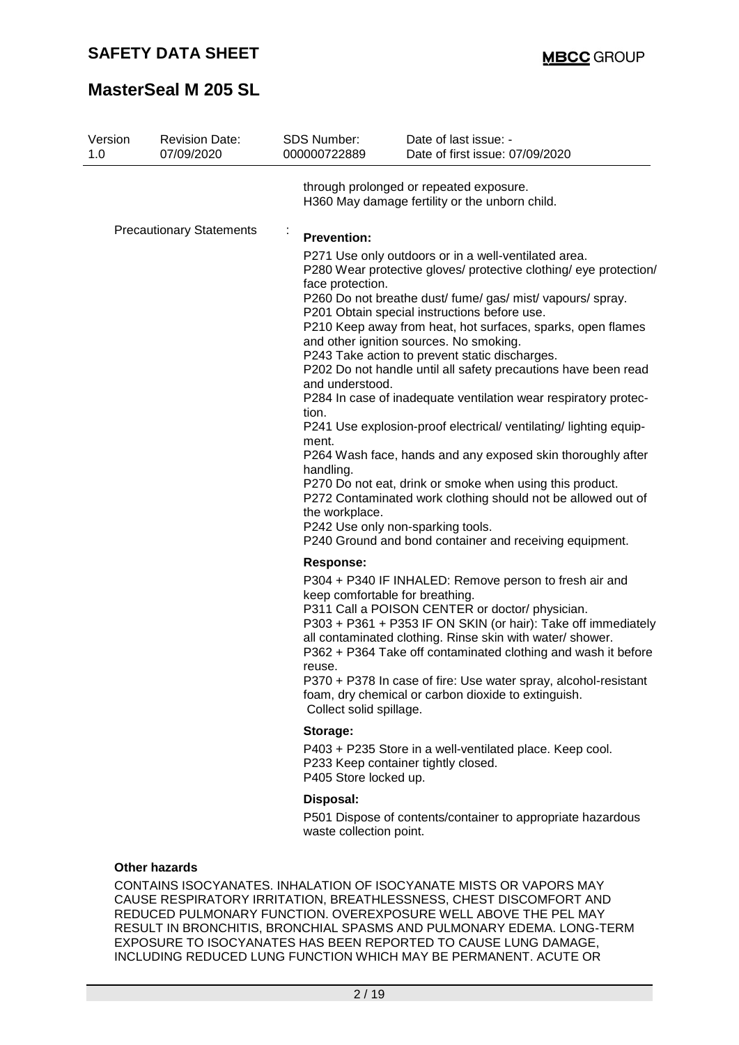| 1.0                             | <b>Revision Date:</b><br>07/09/2020 | <b>SDS Number:</b><br>000000722889                                                                              | Date of last issue: -<br>Date of first issue: 07/09/2020                                                                                                                                                                                                                                                                                                                                                                                                                                                                                                                                                                                                                                                                                                                                                                                                                                               |
|---------------------------------|-------------------------------------|-----------------------------------------------------------------------------------------------------------------|--------------------------------------------------------------------------------------------------------------------------------------------------------------------------------------------------------------------------------------------------------------------------------------------------------------------------------------------------------------------------------------------------------------------------------------------------------------------------------------------------------------------------------------------------------------------------------------------------------------------------------------------------------------------------------------------------------------------------------------------------------------------------------------------------------------------------------------------------------------------------------------------------------|
|                                 |                                     |                                                                                                                 | through prolonged or repeated exposure.<br>H360 May damage fertility or the unborn child.                                                                                                                                                                                                                                                                                                                                                                                                                                                                                                                                                                                                                                                                                                                                                                                                              |
| <b>Precautionary Statements</b> |                                     | ÷<br><b>Prevention:</b><br>face protection.<br>and understood.<br>tion.<br>ment.<br>handling.<br>the workplace. | P271 Use only outdoors or in a well-ventilated area.<br>P280 Wear protective gloves/ protective clothing/ eye protection/<br>P260 Do not breathe dust/ fume/ gas/ mist/ vapours/ spray.<br>P201 Obtain special instructions before use.<br>P210 Keep away from heat, hot surfaces, sparks, open flames<br>and other ignition sources. No smoking.<br>P243 Take action to prevent static discharges.<br>P202 Do not handle until all safety precautions have been read<br>P284 In case of inadequate ventilation wear respiratory protec-<br>P241 Use explosion-proof electrical/ventilating/lighting equip-<br>P264 Wash face, hands and any exposed skin thoroughly after<br>P270 Do not eat, drink or smoke when using this product.<br>P272 Contaminated work clothing should not be allowed out of<br>P242 Use only non-sparking tools.<br>P240 Ground and bond container and receiving equipment. |
|                                 |                                     | <b>Response:</b><br>reuse.<br>Collect solid spillage.                                                           | P304 + P340 IF INHALED: Remove person to fresh air and<br>keep comfortable for breathing.<br>P311 Call a POISON CENTER or doctor/ physician.<br>P303 + P361 + P353 IF ON SKIN (or hair): Take off immediately<br>all contaminated clothing. Rinse skin with water/ shower.<br>P362 + P364 Take off contaminated clothing and wash it before<br>P370 + P378 In case of fire: Use water spray, alcohol-resistant<br>foam, dry chemical or carbon dioxide to extinguish.                                                                                                                                                                                                                                                                                                                                                                                                                                  |
|                                 |                                     | Storage:                                                                                                        |                                                                                                                                                                                                                                                                                                                                                                                                                                                                                                                                                                                                                                                                                                                                                                                                                                                                                                        |
|                                 |                                     | P405 Store locked up.                                                                                           | P403 + P235 Store in a well-ventilated place. Keep cool.<br>P233 Keep container tightly closed.                                                                                                                                                                                                                                                                                                                                                                                                                                                                                                                                                                                                                                                                                                                                                                                                        |
|                                 |                                     | Disposal:                                                                                                       |                                                                                                                                                                                                                                                                                                                                                                                                                                                                                                                                                                                                                                                                                                                                                                                                                                                                                                        |

REDUCED PULMONARY FUNCTION. OVEREXPOSURE WELL ABOVE THE PEL MAY RESULT IN BRONCHITIS, BRONCHIAL SPASMS AND PULMONARY EDEMA. LONG-TERM EXPOSURE TO ISOCYANATES HAS BEEN REPORTED TO CAUSE LUNG DAMAGE, INCLUDING REDUCED LUNG FUNCTION WHICH MAY BE PERMANENT. ACUTE OR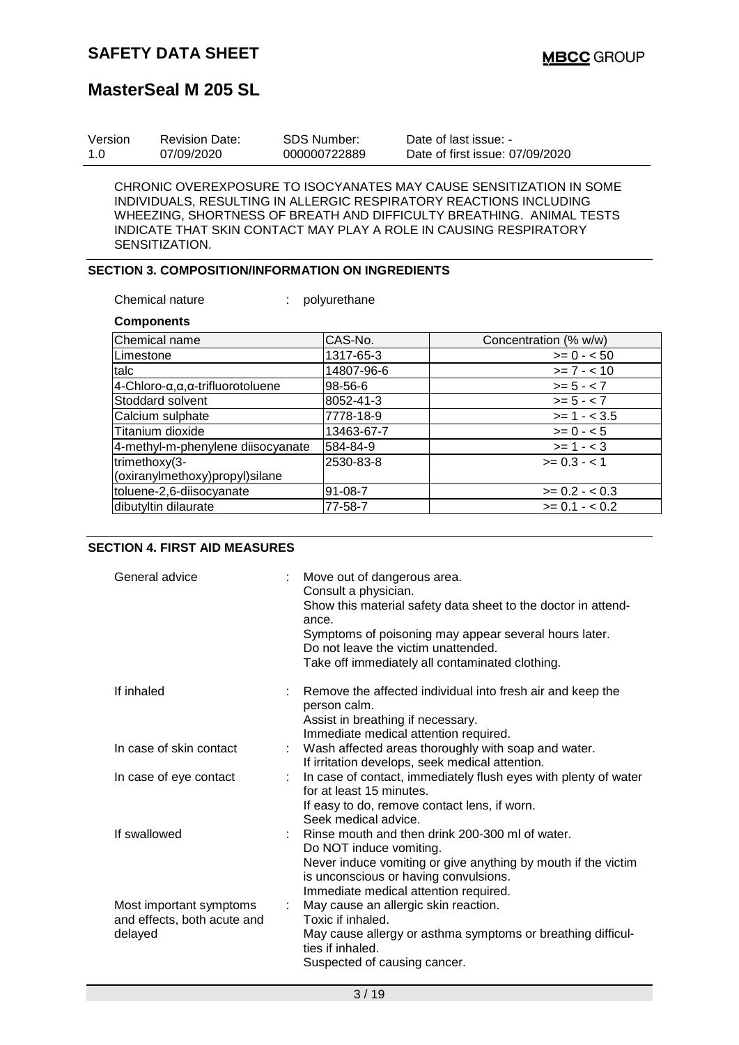| Version | <b>Revision Date:</b> | SDS Number:  | Date of last issue: -           |
|---------|-----------------------|--------------|---------------------------------|
| 1.0     | 07/09/2020            | 000000722889 | Date of first issue: 07/09/2020 |

CHRONIC OVEREXPOSURE TO ISOCYANATES MAY CAUSE SENSITIZATION IN SOME INDIVIDUALS, RESULTING IN ALLERGIC RESPIRATORY REACTIONS INCLUDING WHEEZING, SHORTNESS OF BREATH AND DIFFICULTY BREATHING. ANIMAL TESTS INDICATE THAT SKIN CONTACT MAY PLAY A ROLE IN CAUSING RESPIRATORY SENSITIZATION.

### **SECTION 3. COMPOSITION/INFORMATION ON INGREDIENTS**

Chemical nature : polyurethane

**Components**

| --------------                    |            |                       |
|-----------------------------------|------------|-----------------------|
| Chemical name                     | CAS-No.    | Concentration (% w/w) |
| Limestone                         | 1317-65-3  | $>= 0 - 50$           |
| talc                              | 14807-96-6 | $>= 7 - 10$           |
| 4-Chloro-α,α,α-trifluorotoluene   | 98-56-6    | $>= 5 - < 7$          |
| Stoddard solvent                  | 8052-41-3  | $>= 5 - < 7$          |
| Calcium sulphate                  | 7778-18-9  | $>= 1 - < 3.5$        |
| Titanium dioxide                  | 13463-67-7 | $>= 0 - 5$            |
| 4-methyl-m-phenylene diisocyanate | 584-84-9   | $>= 1 - < 3$          |
| trimethoxy(3-                     | 2530-83-8  | $>= 0.3 - 1$          |
| (oxiranylmethoxy)propyl)silane    |            |                       |
| toluene-2,6-diisocyanate          | 91-08-7    | $>= 0.2 - < 0.3$      |
| dibutyltin dilaurate              | 77-58-7    | $>= 0.1 - 0.2$        |

#### **SECTION 4. FIRST AID MEASURES**

| General advice                                                    |    | Move out of dangerous area.<br>Consult a physician.<br>Show this material safety data sheet to the doctor in attend-<br>ance.<br>Symptoms of poisoning may appear several hours later.<br>Do not leave the victim unattended.<br>Take off immediately all contaminated clothing. |
|-------------------------------------------------------------------|----|----------------------------------------------------------------------------------------------------------------------------------------------------------------------------------------------------------------------------------------------------------------------------------|
| If inhaled                                                        |    | Remove the affected individual into fresh air and keep the<br>person calm.<br>Assist in breathing if necessary.<br>Immediate medical attention required.                                                                                                                         |
| In case of skin contact                                           |    | Wash affected areas thoroughly with soap and water.<br>If irritation develops, seek medical attention.                                                                                                                                                                           |
| In case of eye contact                                            | ÷. | In case of contact, immediately flush eyes with plenty of water<br>for at least 15 minutes.<br>If easy to do, remove contact lens, if worn.<br>Seek medical advice.                                                                                                              |
| If swallowed                                                      |    | Rinse mouth and then drink 200-300 ml of water.<br>Do NOT induce vomiting.<br>Never induce vomiting or give anything by mouth if the victim<br>is unconscious or having convulsions.<br>Immediate medical attention required.                                                    |
| Most important symptoms<br>and effects, both acute and<br>delayed | ÷. | May cause an allergic skin reaction.<br>Toxic if inhaled.<br>May cause allergy or asthma symptoms or breathing difficul-<br>ties if inhaled.<br>Suspected of causing cancer.                                                                                                     |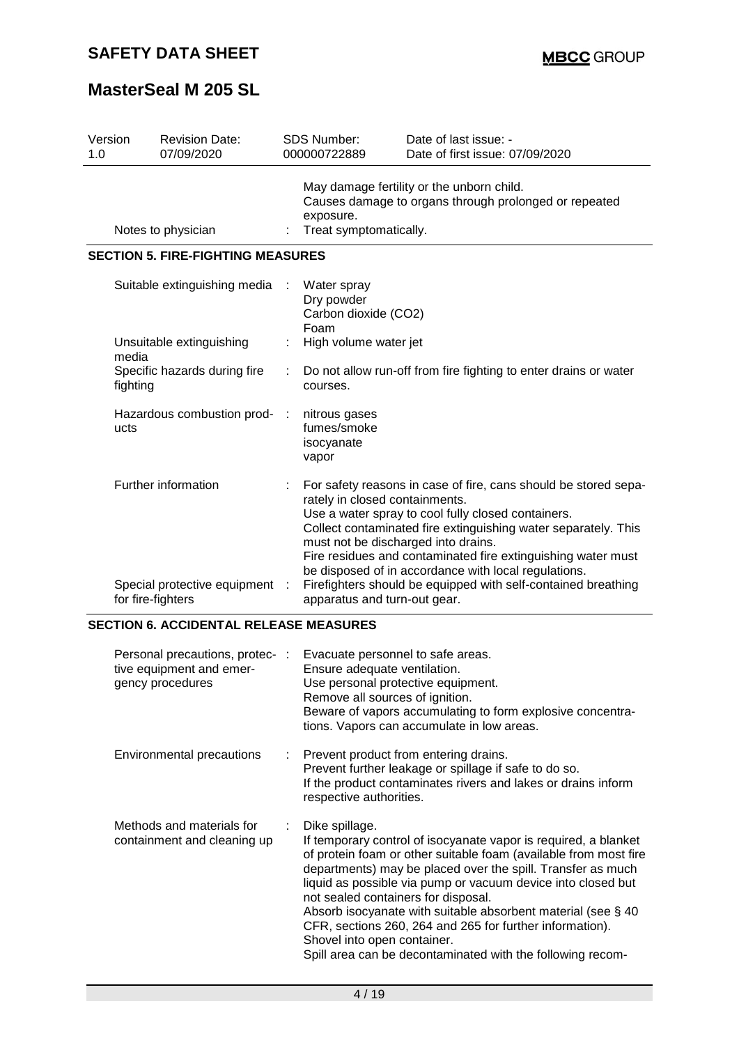| Version<br>1.0               |                                          | <b>Revision Date:</b><br>07/09/2020                                        | <b>SDS Number:</b><br>000000722889                                                                                                                                                                                                                                                                                                                                                                                                                                                        | Date of last issue: -<br>Date of first issue: 07/09/2020                                           |  |
|------------------------------|------------------------------------------|----------------------------------------------------------------------------|-------------------------------------------------------------------------------------------------------------------------------------------------------------------------------------------------------------------------------------------------------------------------------------------------------------------------------------------------------------------------------------------------------------------------------------------------------------------------------------------|----------------------------------------------------------------------------------------------------|--|
|                              |                                          | Notes to physician                                                         | exposure.<br>Treat symptomatically.                                                                                                                                                                                                                                                                                                                                                                                                                                                       | May damage fertility or the unborn child.<br>Causes damage to organs through prolonged or repeated |  |
|                              |                                          | <b>SECTION 5. FIRE-FIGHTING MEASURES</b>                                   |                                                                                                                                                                                                                                                                                                                                                                                                                                                                                           |                                                                                                    |  |
| Suitable extinguishing media |                                          | Water spray<br>Dry powder<br>Carbon dioxide (CO2)<br>Foam                  |                                                                                                                                                                                                                                                                                                                                                                                                                                                                                           |                                                                                                    |  |
|                              | Unsuitable extinguishing<br>media        |                                                                            | High volume water jet                                                                                                                                                                                                                                                                                                                                                                                                                                                                     |                                                                                                    |  |
|                              | Specific hazards during fire<br>fighting |                                                                            | Do not allow run-off from fire fighting to enter drains or water<br>courses.                                                                                                                                                                                                                                                                                                                                                                                                              |                                                                                                    |  |
|                              | ucts                                     | Hazardous combustion prod-                                                 | nitrous gases<br>fumes/smoke<br>isocyanate<br>vapor                                                                                                                                                                                                                                                                                                                                                                                                                                       |                                                                                                    |  |
|                              |                                          | Further information<br>Special protective equipment :<br>for fire-fighters | For safety reasons in case of fire, cans should be stored sepa-<br>rately in closed containments.<br>Use a water spray to cool fully closed containers.<br>Collect contaminated fire extinguishing water separately. This<br>must not be discharged into drains.<br>Fire residues and contaminated fire extinguishing water must<br>be disposed of in accordance with local regulations.<br>Firefighters should be equipped with self-contained breathing<br>apparatus and turn-out gear. |                                                                                                    |  |

### **SECTION 6. ACCIDENTAL RELEASE MEASURES**

| Personal precautions, protec- :<br>tive equipment and emer-<br>gency procedures |     | Evacuate personnel to safe areas.<br>Ensure adequate ventilation.<br>Use personal protective equipment.<br>Remove all sources of ignition.<br>Beware of vapors accumulating to form explosive concentra-<br>tions. Vapors can accumulate in low areas.                                                                                                                                                                                                                                                                                                  |
|---------------------------------------------------------------------------------|-----|---------------------------------------------------------------------------------------------------------------------------------------------------------------------------------------------------------------------------------------------------------------------------------------------------------------------------------------------------------------------------------------------------------------------------------------------------------------------------------------------------------------------------------------------------------|
| Environmental precautions                                                       | t i | Prevent product from entering drains.<br>Prevent further leakage or spillage if safe to do so.<br>If the product contaminates rivers and lakes or drains inform<br>respective authorities.                                                                                                                                                                                                                                                                                                                                                              |
| Methods and materials for<br>containment and cleaning up                        | ÷   | Dike spillage.<br>If temporary control of isocyanate vapor is required, a blanket<br>of protein foam or other suitable foam (available from most fire<br>departments) may be placed over the spill. Transfer as much<br>liquid as possible via pump or vacuum device into closed but<br>not sealed containers for disposal.<br>Absorb isocyanate with suitable absorbent material (see $\S$ 40<br>CFR, sections 260, 264 and 265 for further information).<br>Shovel into open container.<br>Spill area can be decontaminated with the following recom- |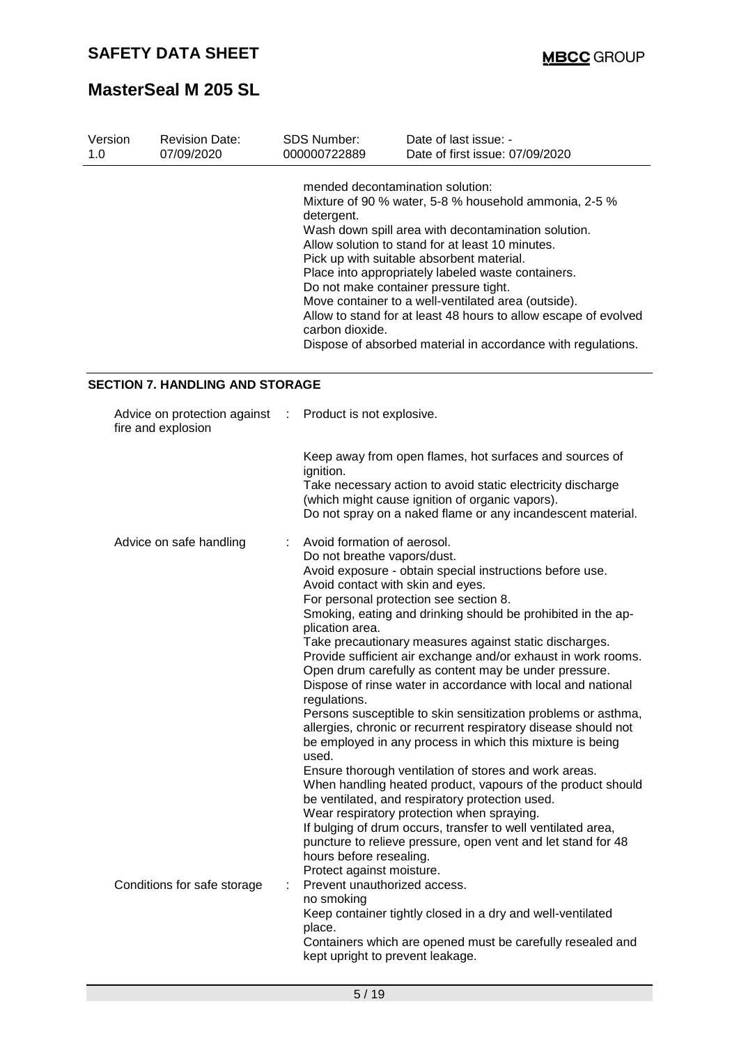| Version | <b>Revision Date:</b> | <b>SDS Number:</b>                                                | Date of last issue: -                                                                                                                                                                                                                                                                                                                                                                                                                                                                                  |
|---------|-----------------------|-------------------------------------------------------------------|--------------------------------------------------------------------------------------------------------------------------------------------------------------------------------------------------------------------------------------------------------------------------------------------------------------------------------------------------------------------------------------------------------------------------------------------------------------------------------------------------------|
| 1.0     | 07/09/2020            | 000000722889                                                      | Date of first issue: 07/09/2020                                                                                                                                                                                                                                                                                                                                                                                                                                                                        |
|         |                       | mended decontamination solution:<br>detergent.<br>carbon dioxide. | Mixture of 90 % water, 5-8 % household ammonia, 2-5 %<br>Wash down spill area with decontamination solution.<br>Allow solution to stand for at least 10 minutes.<br>Pick up with suitable absorbent material.<br>Place into appropriately labeled waste containers.<br>Do not make container pressure tight.<br>Move container to a well-ventilated area (outside).<br>Allow to stand for at least 48 hours to allow escape of evolved<br>Dispose of absorbed material in accordance with regulations. |

### **SECTION 7. HANDLING AND STORAGE**

| Advice on protection against<br>fire and explosion | $\mathcal{L}$ | Product is not explosive.                                                                                                                                                                                                                                                                                                                                                                                                                                                                                                                                                                                                                                                                                                                                                                                                                                                                                                                                                                                                                                                                                                                                                              |
|----------------------------------------------------|---------------|----------------------------------------------------------------------------------------------------------------------------------------------------------------------------------------------------------------------------------------------------------------------------------------------------------------------------------------------------------------------------------------------------------------------------------------------------------------------------------------------------------------------------------------------------------------------------------------------------------------------------------------------------------------------------------------------------------------------------------------------------------------------------------------------------------------------------------------------------------------------------------------------------------------------------------------------------------------------------------------------------------------------------------------------------------------------------------------------------------------------------------------------------------------------------------------|
|                                                    |               | Keep away from open flames, hot surfaces and sources of<br>ignition.<br>Take necessary action to avoid static electricity discharge<br>(which might cause ignition of organic vapors).<br>Do not spray on a naked flame or any incandescent material.                                                                                                                                                                                                                                                                                                                                                                                                                                                                                                                                                                                                                                                                                                                                                                                                                                                                                                                                  |
| Advice on safe handling                            |               | Avoid formation of aerosol.<br>Do not breathe vapors/dust.<br>Avoid exposure - obtain special instructions before use.<br>Avoid contact with skin and eyes.<br>For personal protection see section 8.<br>Smoking, eating and drinking should be prohibited in the ap-<br>plication area.<br>Take precautionary measures against static discharges.<br>Provide sufficient air exchange and/or exhaust in work rooms.<br>Open drum carefully as content may be under pressure.<br>Dispose of rinse water in accordance with local and national<br>regulations.<br>Persons susceptible to skin sensitization problems or asthma,<br>allergies, chronic or recurrent respiratory disease should not<br>be employed in any process in which this mixture is being<br>used.<br>Ensure thorough ventilation of stores and work areas.<br>When handling heated product, vapours of the product should<br>be ventilated, and respiratory protection used.<br>Wear respiratory protection when spraying.<br>If bulging of drum occurs, transfer to well ventilated area,<br>puncture to relieve pressure, open vent and let stand for 48<br>hours before resealing.<br>Protect against moisture. |
| Conditions for safe storage                        |               | Prevent unauthorized access.<br>no smoking<br>Keep container tightly closed in a dry and well-ventilated<br>place.<br>Containers which are opened must be carefully resealed and<br>kept upright to prevent leakage.                                                                                                                                                                                                                                                                                                                                                                                                                                                                                                                                                                                                                                                                                                                                                                                                                                                                                                                                                                   |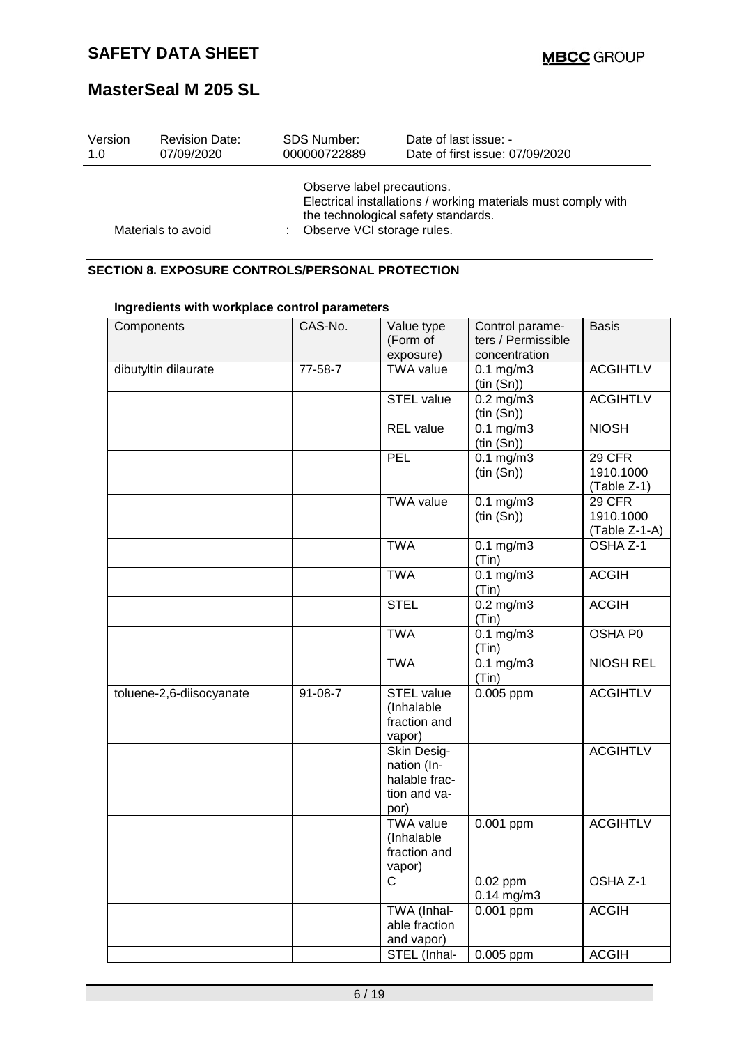| Version | <b>Revision Date:</b> | <b>SDS Number:</b>                                         | Date of last issue: -                                                                                |
|---------|-----------------------|------------------------------------------------------------|------------------------------------------------------------------------------------------------------|
| 1.0     | 07/09/2020            | 000000722889                                               | Date of first issue: 07/09/2020                                                                      |
|         | Materials to avoid    | Observe label precautions.<br>: Observe VCI storage rules. | Electrical installations / working materials must comply with<br>the technological safety standards. |

### **SECTION 8. EXPOSURE CONTROLS/PERSONAL PROTECTION**

| Components               | CAS-No. | Value type<br>(Form of<br>exposure)                                 | Control parame-<br>ters / Permissible<br>concentration | <b>Basis</b>                         |
|--------------------------|---------|---------------------------------------------------------------------|--------------------------------------------------------|--------------------------------------|
| dibutyltin dilaurate     | 77-58-7 | <b>TWA value</b>                                                    | $0.1$ mg/m $3$<br>(tin(Sn))                            | <b>ACGIHTLV</b>                      |
|                          |         | <b>STEL value</b>                                                   | $0.2$ mg/m $3$<br>(tin(Sn))                            | <b>ACGIHTLV</b>                      |
|                          |         | <b>REL</b> value                                                    | $0.1 \text{ mg/m}$<br>(tin(Sn))                        | <b>NIOSH</b>                         |
|                          |         | PEL                                                                 | $0.1 \text{ mg/m}$<br>(tin(Sn))                        | 29 CFR<br>1910.1000<br>(Table Z-1)   |
|                          |         | <b>TWA</b> value                                                    | $0.1$ mg/m $3$<br>(tin(Sn))                            | 29 CFR<br>1910.1000<br>(Table Z-1-A) |
|                          |         | <b>TWA</b>                                                          | $0.1$ mg/m $3$<br>(Tin)                                | OSHA <sub>Z-1</sub>                  |
|                          |         | <b>TWA</b>                                                          | $0.1 \text{ mg/m}$<br>(Tin)                            | <b>ACGIH</b>                         |
|                          |         | <b>STEL</b>                                                         | $0.2$ mg/m $3$<br>(Tin)                                | <b>ACGIH</b>                         |
|                          |         | <b>TWA</b>                                                          | $0.1 \text{ mg/m}$<br>(Tin)                            | <b>OSHA PO</b>                       |
|                          |         | <b>TWA</b>                                                          | $0.1$ mg/m $3$<br>(Tin)                                | <b>NIOSH REL</b>                     |
| toluene-2,6-diisocyanate | 91-08-7 | STEL value<br>(Inhalable<br>fraction and<br>vapor)                  | $0.005$ ppm                                            | <b>ACGIHTLV</b>                      |
|                          |         | Skin Desig-<br>nation (In-<br>halable frac-<br>tion and va-<br>por) |                                                        | <b>ACGIHTLV</b>                      |
|                          |         | <b>TWA value</b><br>(Inhalable<br>fraction and<br>vapor)            | 0.001 ppm                                              | <b>ACGIHTLV</b>                      |
|                          |         | $\mathsf{C}$                                                        | $0.02$ ppm<br>$0.14$ mg/m3                             | OSHA Z-1                             |
|                          |         | TWA (Inhal-<br>able fraction<br>and vapor)                          | 0.001 ppm                                              | <b>ACGIH</b>                         |
|                          |         | STEL (Inhal-                                                        | 0.005 ppm                                              | <b>ACGIH</b>                         |

### **Ingredients with workplace control parameters**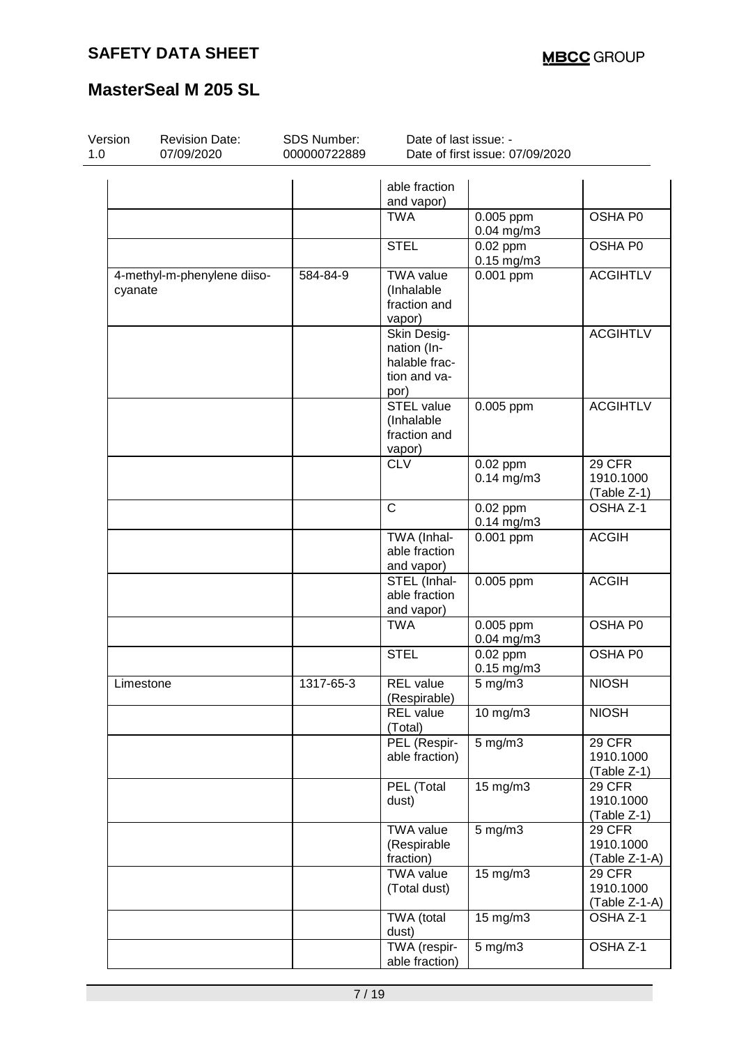| Version<br>1.0 | <b>Revision Date:</b><br>07/09/2020    | SDS Number:<br>000000722889 | Date of last issue: -                                               | Date of first issue: 07/09/2020          |                                             |
|----------------|----------------------------------------|-----------------------------|---------------------------------------------------------------------|------------------------------------------|---------------------------------------------|
|                |                                        |                             | able fraction<br>and vapor)                                         |                                          |                                             |
|                |                                        |                             | <b>TWA</b>                                                          | 0.005 ppm<br>$0.04$ mg/m3                | OSHA P0                                     |
|                |                                        |                             | <b>STEL</b>                                                         | $\overline{0.02}$ ppm<br>$0.15$ mg/m $3$ | <b>OSHA P0</b>                              |
|                | 4-methyl-m-phenylene diiso-<br>cyanate | 584-84-9                    | <b>TWA value</b><br>(Inhalable<br>fraction and<br>vapor)            | 0.001 ppm                                | <b>ACGIHTLV</b>                             |
|                |                                        |                             | Skin Desig-<br>nation (In-<br>halable frac-<br>tion and va-<br>por) |                                          | <b>ACGIHTLV</b>                             |
|                |                                        |                             | <b>STEL value</b><br>(Inhalable<br>fraction and<br>vapor)           | 0.005 ppm                                | <b>ACGIHTLV</b>                             |
|                |                                        |                             | <b>CLV</b>                                                          | 0.02 ppm<br>$0.14$ mg/m3                 | 29 CFR<br>1910.1000<br>(Table Z-1)          |
|                |                                        |                             | $\mathsf{C}$                                                        | 0.02 ppm<br>$0.14$ mg/m3                 | OSHA Z-1                                    |
|                |                                        |                             | TWA (Inhal-<br>able fraction<br>and vapor)                          | 0.001 ppm                                | <b>ACGIH</b>                                |
|                |                                        |                             | STEL (Inhal-<br>able fraction<br>and vapor)                         | 0.005 ppm                                | <b>ACGIH</b>                                |
|                |                                        |                             | <b>TWA</b>                                                          | 0.005 ppm<br>$0.04$ mg/m3                | OSHA P0                                     |
|                |                                        |                             | <b>STEL</b>                                                         | $0.02$ ppm<br>$0.15$ mg/m $3$            | OSHA P0                                     |
|                | Limestone                              | 1317-65-3                   | <b>REL</b> value<br>(Respirable)                                    | 5 mg/m3                                  | <b>NIOSH</b>                                |
|                |                                        |                             | <b>REL</b> value<br>(Total)                                         | 10 mg/m3                                 | <b>NIOSH</b>                                |
|                |                                        |                             | PEL (Respir-<br>able fraction)                                      | 5 mg/m3                                  | <b>29 CFR</b><br>1910.1000<br>(Table Z-1)   |
|                |                                        |                             | PEL (Total<br>dust)                                                 | 15 mg/m3                                 | 29 CFR<br>1910.1000<br>(Table Z-1)          |
|                |                                        |                             | <b>TWA value</b><br>(Respirable<br>fraction)                        | $5$ mg/m $3$                             | <b>29 CFR</b><br>1910.1000<br>(Table Z-1-A) |
|                |                                        |                             | <b>TWA value</b><br>(Total dust)                                    | 15 mg/m3                                 | 29 CFR<br>1910.1000<br>(Table Z-1-A)        |
|                |                                        |                             | TWA (total<br>dust)                                                 | 15 mg/m3                                 | OSHA Z-1                                    |
|                |                                        |                             | TWA (respir-<br>able fraction)                                      | $5$ mg/m $3$                             | OSHA Z-1                                    |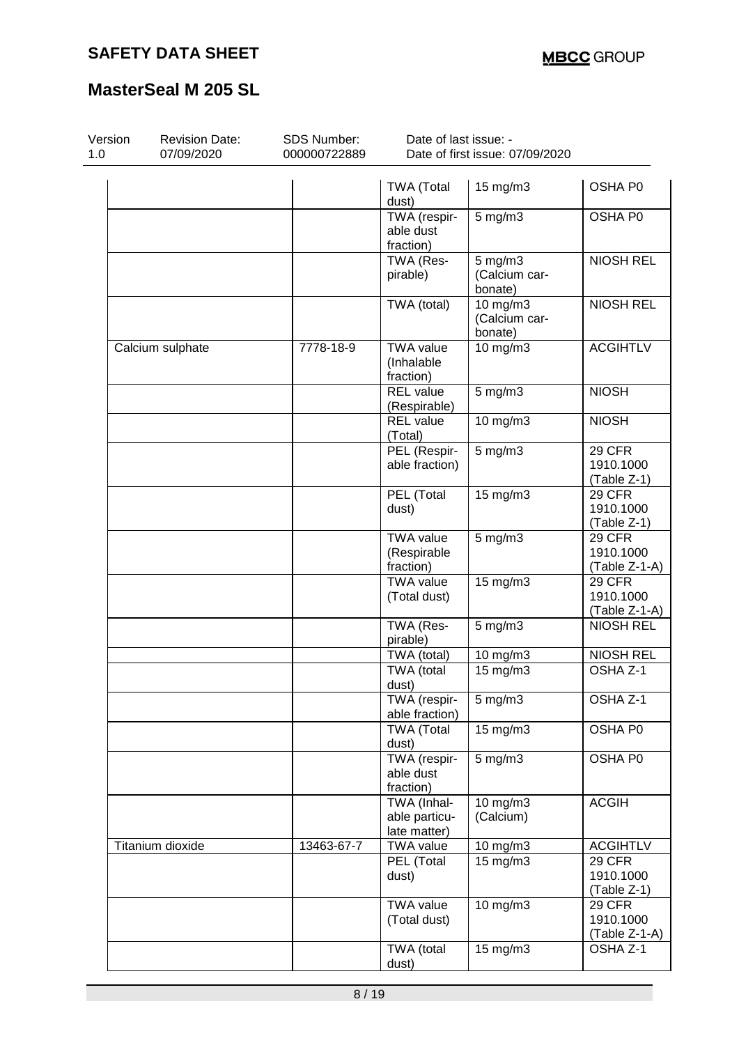| Version<br>1.0 | <b>Revision Date:</b><br>07/09/2020 | SDS Number:<br>000000722889 | Date of last issue: -<br>Date of first issue: 07/09/2020 |                                      |                                               |  |  |
|----------------|-------------------------------------|-----------------------------|----------------------------------------------------------|--------------------------------------|-----------------------------------------------|--|--|
|                |                                     |                             | <b>TWA (Total</b><br>dust)                               | 15 mg/m3                             | OSHA P0                                       |  |  |
|                |                                     |                             | TWA (respir-<br>able dust<br>fraction)                   | $5$ mg/m $3$                         | OSHA P0                                       |  |  |
|                |                                     |                             | TWA (Res-<br>pirable)                                    | 5 mg/m3<br>(Calcium car-<br>bonate)  | <b>NIOSH REL</b>                              |  |  |
|                |                                     |                             | TWA (total)                                              | 10 mg/m3<br>(Calcium car-<br>bonate) | <b>NIOSH REL</b>                              |  |  |
|                | Calcium sulphate                    | 7778-18-9                   | <b>TWA value</b><br>(Inhalable<br>fraction)              | $10 \text{ mg/m}$ 3                  | <b>ACGIHTLV</b>                               |  |  |
|                |                                     |                             | <b>REL</b> value<br>(Respirable)                         | $5$ mg/m $3$                         | <b>NIOSH</b>                                  |  |  |
|                |                                     |                             | <b>REL</b> value<br>(Total)                              | 10 mg/m3                             | <b>NIOSH</b>                                  |  |  |
|                |                                     |                             | PEL (Respir-<br>able fraction)                           | $5$ mg/m $3$                         | 29 CFR<br>1910.1000<br>(Table Z-1)            |  |  |
|                |                                     |                             | PEL (Total<br>dust)                                      | 15 mg/m3                             | 29 CFR<br>1910.1000<br>(Table Z-1)            |  |  |
|                |                                     |                             | <b>TWA value</b><br>(Respirable<br>fraction)             | $5$ mg/m $3$                         | <b>29 CFR</b><br>1910.1000<br>(Table Z-1-A)   |  |  |
|                |                                     |                             | <b>TWA value</b><br>(Total dust)                         | 15 mg/m3                             | <b>29 CFR</b><br>1910.1000<br>(Table Z-1-A)   |  |  |
|                |                                     |                             | TWA (Res-<br>pirable)                                    | 5 mg/m3                              | <b>NIOSH REL</b>                              |  |  |
|                |                                     |                             | TWA (total)                                              | 10 mg/m3                             | <b>NIOSH REL</b>                              |  |  |
|                |                                     |                             | TWA (total<br>dust)                                      | $15 \text{ mg/m}$                    | OSHA Z-1                                      |  |  |
|                |                                     |                             | TWA (respir-<br>able fraction)                           | $5$ mg/m $3$                         | OSHA Z-1                                      |  |  |
|                |                                     |                             | <b>TWA (Total</b><br>dust)                               | 15 mg/m3                             | OSHA P0                                       |  |  |
|                |                                     |                             | TWA (respir-<br>able dust<br>fraction)                   | $5 \text{ mg/m}$                     | OSHA P0                                       |  |  |
|                |                                     |                             | TWA (Inhal-<br>able particu-<br>late matter)             | $10$ mg/m $3$<br>(Calcium)           | <b>ACGIH</b>                                  |  |  |
|                | Titanium dioxide                    | 13463-67-7                  | <b>TWA value</b>                                         | 10 mg/m3                             | <b>ACGIHTLV</b>                               |  |  |
|                |                                     |                             | PEL (Total<br>dust)                                      | $15 \text{ mg/m}$ 3                  | 29 CFR<br>1910.1000<br>(Table Z-1)            |  |  |
|                |                                     |                             | <b>TWA value</b><br>(Total dust)                         | 10 mg/m3                             | <b>29 CFR</b><br>1910.1000<br>$(Table Z-1-A)$ |  |  |
|                |                                     |                             | TWA (total<br>dust)                                      | 15 mg/m3                             | OSHA Z-1                                      |  |  |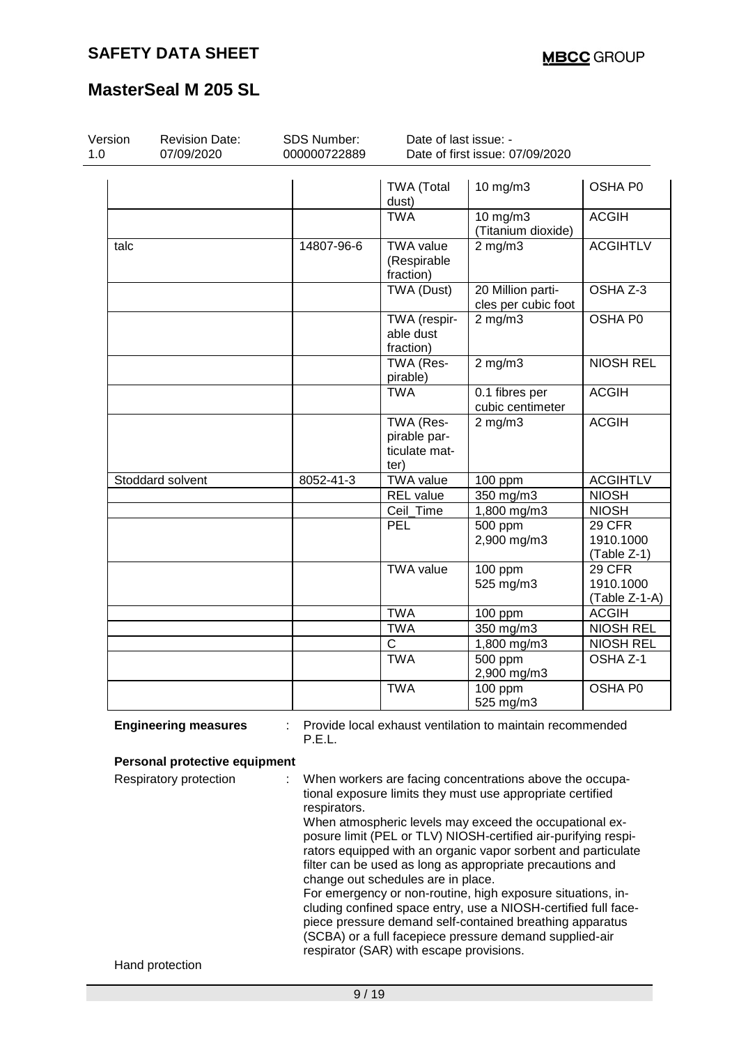| Version<br>1.0 | <b>Revision Date:</b><br>07/09/2020 | <b>SDS Number:</b><br>000000722889 | Date of last issue: -                              | Date of first issue: 07/09/2020                                                                                                                                                                                                                                                                                                                                                                                                                                                                                                                                                                                                           |                                      |
|----------------|-------------------------------------|------------------------------------|----------------------------------------------------|-------------------------------------------------------------------------------------------------------------------------------------------------------------------------------------------------------------------------------------------------------------------------------------------------------------------------------------------------------------------------------------------------------------------------------------------------------------------------------------------------------------------------------------------------------------------------------------------------------------------------------------------|--------------------------------------|
|                |                                     |                                    | <b>TWA (Total</b><br>dust)                         | 10 mg/m3                                                                                                                                                                                                                                                                                                                                                                                                                                                                                                                                                                                                                                  | OSHA P0                              |
|                |                                     |                                    | <b>TWA</b>                                         | 10 mg/m3<br>(Titanium dioxide)                                                                                                                                                                                                                                                                                                                                                                                                                                                                                                                                                                                                            | <b>ACGIH</b>                         |
| talc           |                                     | 14807-96-6                         | <b>TWA value</b><br>(Respirable<br>fraction)       | $2$ mg/m $3$                                                                                                                                                                                                                                                                                                                                                                                                                                                                                                                                                                                                                              | <b>ACGIHTLV</b>                      |
|                |                                     |                                    | TWA (Dust)                                         | 20 Million parti-<br>cles per cubic foot                                                                                                                                                                                                                                                                                                                                                                                                                                                                                                                                                                                                  | OSHA Z-3                             |
|                |                                     |                                    | TWA (respir-<br>able dust<br>fraction)             | $2$ mg/m $3$                                                                                                                                                                                                                                                                                                                                                                                                                                                                                                                                                                                                                              | OSHA P0                              |
|                |                                     |                                    | TWA (Res-<br>pirable)                              | $2$ mg/m $3$                                                                                                                                                                                                                                                                                                                                                                                                                                                                                                                                                                                                                              | <b>NIOSH REL</b>                     |
|                |                                     |                                    | <b>TWA</b>                                         | 0.1 fibres per<br>cubic centimeter                                                                                                                                                                                                                                                                                                                                                                                                                                                                                                                                                                                                        | <b>ACGIH</b>                         |
|                |                                     |                                    | TWA (Res-<br>pirable par-<br>ticulate mat-<br>ter) | $2$ mg/m $3$                                                                                                                                                                                                                                                                                                                                                                                                                                                                                                                                                                                                                              | <b>ACGIH</b>                         |
|                | Stoddard solvent                    | 8052-41-3                          | <b>TWA value</b>                                   | 100 ppm                                                                                                                                                                                                                                                                                                                                                                                                                                                                                                                                                                                                                                   | <b>ACGIHTLV</b>                      |
|                |                                     |                                    | REL value                                          | 350 mg/m3                                                                                                                                                                                                                                                                                                                                                                                                                                                                                                                                                                                                                                 | <b>NIOSH</b>                         |
|                |                                     |                                    | Ceil_Time                                          | 1,800 mg/m3                                                                                                                                                                                                                                                                                                                                                                                                                                                                                                                                                                                                                               | <b>NIOSH</b>                         |
|                |                                     |                                    | PEL                                                | 500 ppm<br>2,900 mg/m3                                                                                                                                                                                                                                                                                                                                                                                                                                                                                                                                                                                                                    | 29 CFR<br>1910.1000<br>(Table Z-1)   |
|                |                                     |                                    | <b>TWA value</b>                                   | $100$ ppm<br>525 mg/m3                                                                                                                                                                                                                                                                                                                                                                                                                                                                                                                                                                                                                    | 29 CFR<br>1910.1000<br>(Table Z-1-A) |
|                |                                     |                                    | <b>TWA</b>                                         | 100 ppm                                                                                                                                                                                                                                                                                                                                                                                                                                                                                                                                                                                                                                   | <b>ACGIH</b>                         |
|                |                                     |                                    | <b>TWA</b>                                         | 350 mg/m3                                                                                                                                                                                                                                                                                                                                                                                                                                                                                                                                                                                                                                 | <b>NIOSH REL</b>                     |
|                |                                     |                                    | C                                                  | 1,800 mg/m3                                                                                                                                                                                                                                                                                                                                                                                                                                                                                                                                                                                                                               | <b>NIOSH REL</b>                     |
|                |                                     |                                    | <b>TWA</b>                                         | $\frac{1}{500}$ ppm<br>2,900 mg/m3                                                                                                                                                                                                                                                                                                                                                                                                                                                                                                                                                                                                        | OSHA Z-1                             |
|                |                                     |                                    | <b>TWA</b>                                         | 100 ppm<br>525 mg/m3                                                                                                                                                                                                                                                                                                                                                                                                                                                                                                                                                                                                                      | OSHA P0                              |
|                | <b>Engineering measures</b>         | P.E.L.                             |                                                    | Provide local exhaust ventilation to maintain recommended                                                                                                                                                                                                                                                                                                                                                                                                                                                                                                                                                                                 |                                      |
|                | Personal protective equipment       |                                    |                                                    |                                                                                                                                                                                                                                                                                                                                                                                                                                                                                                                                                                                                                                           |                                      |
|                | Respiratory protection              | respirators.                       | change out schedules are in place.                 | When workers are facing concentrations above the occupa-<br>tional exposure limits they must use appropriate certified<br>When atmospheric levels may exceed the occupational ex-<br>posure limit (PEL or TLV) NIOSH-certified air-purifying respi-<br>rators equipped with an organic vapor sorbent and particulate<br>filter can be used as long as appropriate precautions and<br>For emergency or non-routine, high exposure situations, in-<br>cluding confined space entry, use a NIOSH-certified full face-<br>piece pressure demand self-contained breathing apparatus<br>(SCBA) or a full facepiece pressure demand supplied-air |                                      |
|                | Hand protection                     |                                    | respirator (SAR) with escape provisions.           |                                                                                                                                                                                                                                                                                                                                                                                                                                                                                                                                                                                                                                           |                                      |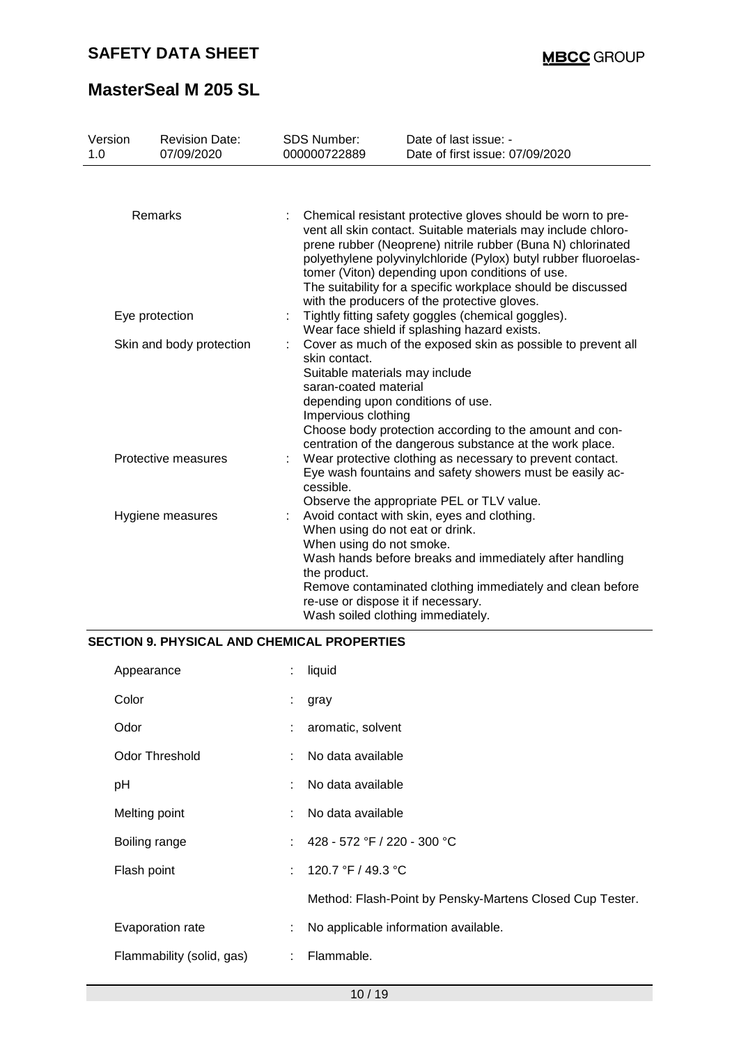| Version<br>1.0 | <b>Revision Date:</b><br>07/09/2020 | <b>SDS Number:</b><br>000000722889                                                                                                                                                                                                                                                                                                                                                                                                | Date of last issue: -<br>Date of first issue: 07/09/2020                                                                                                                                                                 |  |  |  |  |
|----------------|-------------------------------------|-----------------------------------------------------------------------------------------------------------------------------------------------------------------------------------------------------------------------------------------------------------------------------------------------------------------------------------------------------------------------------------------------------------------------------------|--------------------------------------------------------------------------------------------------------------------------------------------------------------------------------------------------------------------------|--|--|--|--|
|                |                                     |                                                                                                                                                                                                                                                                                                                                                                                                                                   |                                                                                                                                                                                                                          |  |  |  |  |
|                | Remarks                             | Chemical resistant protective gloves should be worn to pre-<br>vent all skin contact. Suitable materials may include chloro-<br>prene rubber (Neoprene) nitrile rubber (Buna N) chlorinated<br>polyethylene polyvinylchloride (Pylox) butyl rubber fluoroelas-<br>tomer (Viton) depending upon conditions of use.<br>The suitability for a specific workplace should be discussed<br>with the producers of the protective gloves. |                                                                                                                                                                                                                          |  |  |  |  |
|                | Eye protection                      |                                                                                                                                                                                                                                                                                                                                                                                                                                   | Tightly fitting safety goggles (chemical goggles).<br>Wear face shield if splashing hazard exists.                                                                                                                       |  |  |  |  |
|                | Skin and body protection            | skin contact.<br>Suitable materials may include<br>saran-coated material<br>Impervious clothing                                                                                                                                                                                                                                                                                                                                   | Cover as much of the exposed skin as possible to prevent all<br>depending upon conditions of use.<br>Choose body protection according to the amount and con-<br>centration of the dangerous substance at the work place. |  |  |  |  |
|                | Protective measures                 | Wear protective clothing as necessary to prevent contact.<br>Eye wash fountains and safety showers must be easily ac-<br>cessible.<br>Observe the appropriate PEL or TLV value.                                                                                                                                                                                                                                                   |                                                                                                                                                                                                                          |  |  |  |  |
|                | Hygiene measures                    | When using do not eat or drink.<br>When using do not smoke.<br>the product.<br>re-use or dispose it if necessary.                                                                                                                                                                                                                                                                                                                 | Avoid contact with skin, eyes and clothing.<br>Wash hands before breaks and immediately after handling<br>Remove contaminated clothing immediately and clean before<br>Wash soiled clothing immediately.                 |  |  |  |  |

#### **SECTION 9. PHYSICAL AND CHEMICAL PROPERTIES**

| Appearance                | $\mathbb{Z}^n$ | liquid                                                   |
|---------------------------|----------------|----------------------------------------------------------|
| Color                     | ÷.             | gray                                                     |
| Odor                      |                | : aromatic, solvent                                      |
| <b>Odor Threshold</b>     |                | : No data available                                      |
| рH                        |                | No data available                                        |
| Melting point             | ÷              | No data available                                        |
| Boiling range             |                | : $428 - 572$ °F / 220 - 300 °C                          |
| Flash point               |                | : $120.7 °F / 49.3 °C$                                   |
|                           |                | Method: Flash-Point by Pensky-Martens Closed Cup Tester. |
| Evaporation rate          | ÷              | No applicable information available.                     |
| Flammability (solid, gas) | ÷              | Flammable.                                               |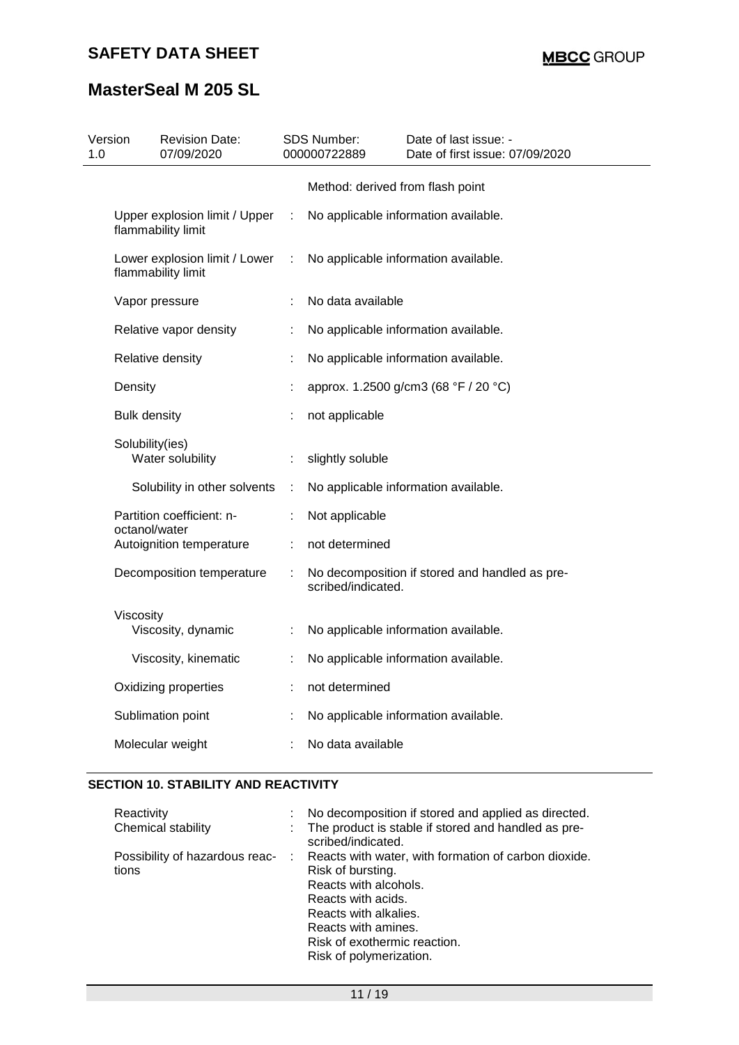| 1.0 | Version             | <b>Revision Date:</b><br>07/09/2020                 |               | <b>SDS Number:</b><br>000000722889 | Date of last issue: -<br>Date of first issue: 07/09/2020 |
|-----|---------------------|-----------------------------------------------------|---------------|------------------------------------|----------------------------------------------------------|
|     |                     |                                                     |               | Method: derived from flash point   |                                                          |
|     |                     | Upper explosion limit / Upper<br>flammability limit | $\mathcal{L}$ |                                    | No applicable information available.                     |
|     |                     | Lower explosion limit / Lower<br>flammability limit | ÷             |                                    | No applicable information available.                     |
|     |                     | Vapor pressure                                      |               | No data available                  |                                                          |
|     |                     | Relative vapor density                              | t             |                                    | No applicable information available.                     |
|     |                     | Relative density                                    |               |                                    | No applicable information available.                     |
|     | Density             |                                                     |               |                                    | approx. 1.2500 g/cm3 (68 °F / 20 °C)                     |
|     | <b>Bulk density</b> |                                                     |               | not applicable                     |                                                          |
|     | Solubility(ies)     | Water solubility                                    | ÷             | slightly soluble                   |                                                          |
|     |                     | Solubility in other solvents                        | ÷             |                                    | No applicable information available.                     |
|     | octanol/water       | Partition coefficient: n-                           | t             | Not applicable                     |                                                          |
|     |                     | Autoignition temperature                            | ÷             | not determined                     |                                                          |
|     |                     | Decomposition temperature                           | ÷             | scribed/indicated.                 | No decomposition if stored and handled as pre-           |
|     | Viscosity           | Viscosity, dynamic                                  | ÷             |                                    | No applicable information available.                     |
|     |                     | Viscosity, kinematic                                | ÷             |                                    | No applicable information available.                     |
|     |                     | Oxidizing properties                                |               | not determined                     |                                                          |
|     |                     | Sublimation point                                   | ÷             |                                    | No applicable information available.                     |
|     |                     | Molecular weight                                    |               | No data available                  |                                                          |

### **SECTION 10. STABILITY AND REACTIVITY**

| Reactivity         | No decomposition if stored and applied as directed.                                                                                                                                                                                                                  |
|--------------------|----------------------------------------------------------------------------------------------------------------------------------------------------------------------------------------------------------------------------------------------------------------------|
| Chemical stability | : The product is stable if stored and handled as pre-<br>scribed/indicated.                                                                                                                                                                                          |
| tions              | Possibility of hazardous reac- : Reacts with water, with formation of carbon dioxide.<br>Risk of bursting.<br>Reacts with alcohols.<br>Reacts with acids.<br>Reacts with alkalies.<br>Reacts with amines.<br>Risk of exothermic reaction.<br>Risk of polymerization. |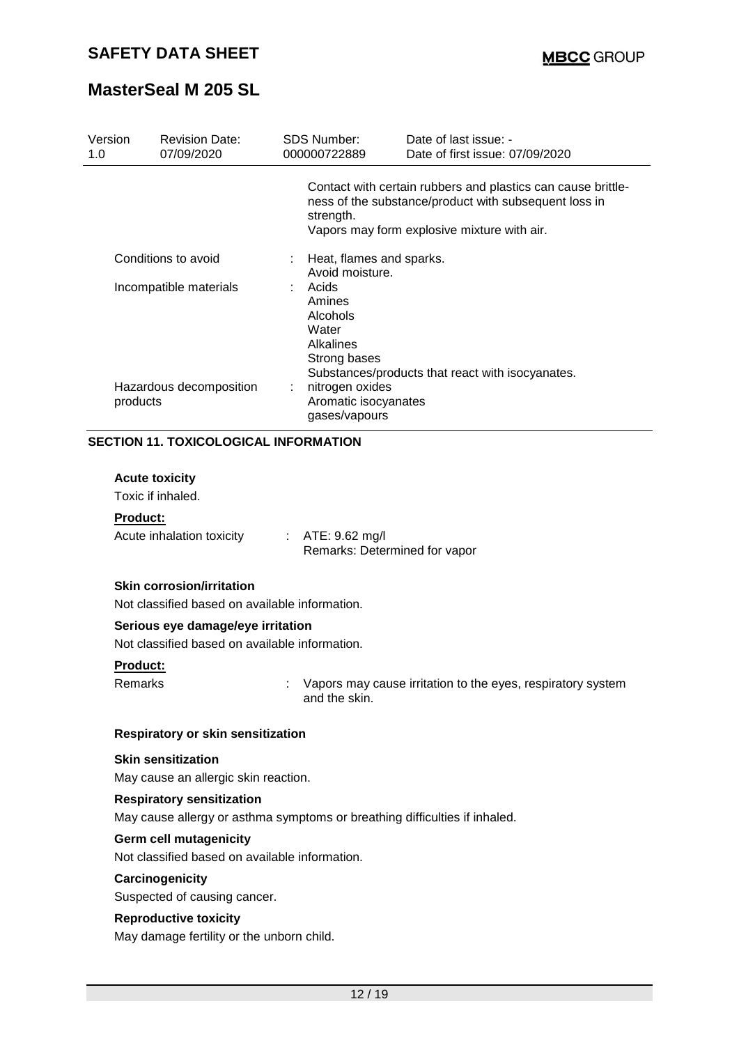| Version<br>1.0         | <b>Revision Date:</b><br>07/09/2020          | <b>SDS Number:</b><br>000000722889                                       | Date of last issue: -<br>Date of first issue: 07/09/2020                                                                                                             |
|------------------------|----------------------------------------------|--------------------------------------------------------------------------|----------------------------------------------------------------------------------------------------------------------------------------------------------------------|
|                        |                                              | strength.                                                                | Contact with certain rubbers and plastics can cause brittle-<br>ness of the substance/product with subsequent loss in<br>Vapors may form explosive mixture with air. |
|                        | Conditions to avoid                          | Heat, flames and sparks.<br>Avoid moisture.                              |                                                                                                                                                                      |
| Incompatible materials |                                              | Acids<br>Amines<br>Alcohols<br>Water<br><b>Alkalines</b><br>Strong bases | Substances/products that react with isocyanates.                                                                                                                     |
| products               | Hazardous decomposition                      | nitrogen oxides<br>Aromatic isocyanates<br>gases/vapours                 |                                                                                                                                                                      |
|                        | <b>SECTION 11. TOXICOLOGICAL INFORMATION</b> |                                                                          |                                                                                                                                                                      |

#### **Acute toxicity**

Toxic if inhaled.

#### **Product:**

Acute inhalation toxicity : ATE: 9.62 mg/l Remarks: Determined for vapor

#### **Skin corrosion/irritation**

Not classified based on available information.

### **Serious eye damage/eye irritation**

Not classified based on available information.

#### **Product:**

Remarks **EXACTE:** Vapors may cause irritation to the eyes, respiratory system and the skin.

#### **Respiratory or skin sensitization**

**Skin sensitization** May cause an allergic skin reaction.

#### **Respiratory sensitization**

May cause allergy or asthma symptoms or breathing difficulties if inhaled.

#### **Germ cell mutagenicity**

Not classified based on available information.

### **Carcinogenicity**

Suspected of causing cancer.

#### **Reproductive toxicity**

May damage fertility or the unborn child.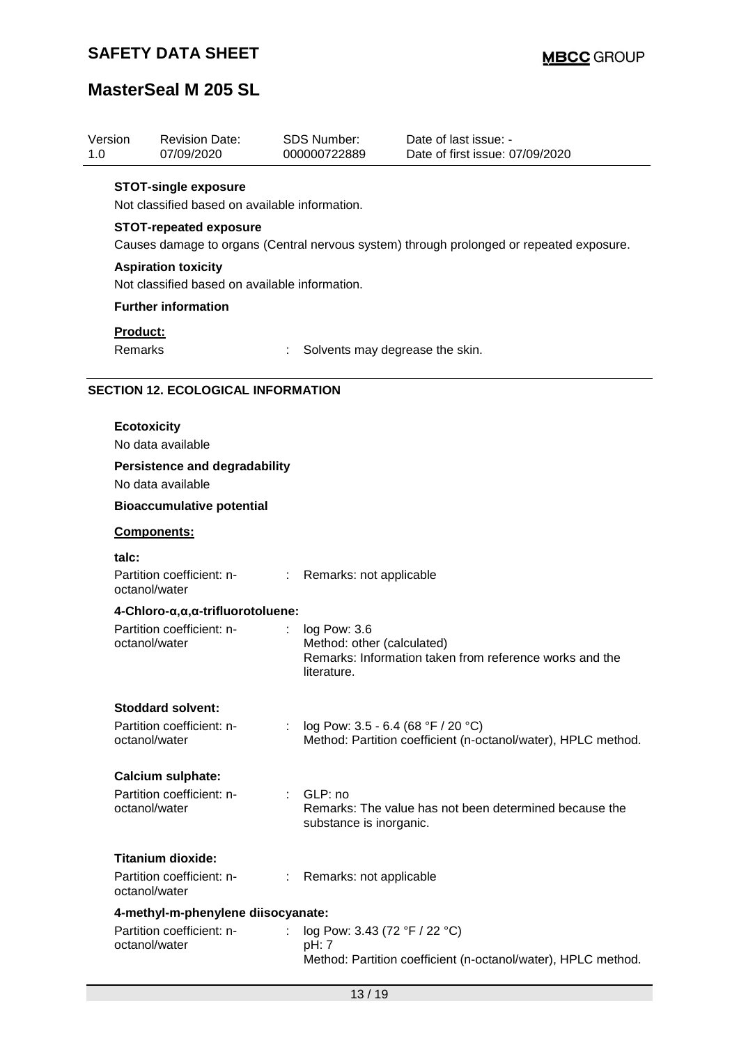| Version<br>1.0 | <b>Revision Date:</b><br>07/09/2020                   |    | SDS Number:<br>000000722889        | Date of last issue: -<br>Date of first issue: 07/09/2020                                 |
|----------------|-------------------------------------------------------|----|------------------------------------|------------------------------------------------------------------------------------------|
|                | <b>STOT-single exposure</b>                           |    |                                    |                                                                                          |
|                | Not classified based on available information.        |    |                                    |                                                                                          |
|                | <b>STOT-repeated exposure</b>                         |    |                                    |                                                                                          |
|                |                                                       |    |                                    | Causes damage to organs (Central nervous system) through prolonged or repeated exposure. |
|                | <b>Aspiration toxicity</b>                            |    |                                    |                                                                                          |
|                | Not classified based on available information.        |    |                                    |                                                                                          |
|                | <b>Further information</b>                            |    |                                    |                                                                                          |
|                | Product:                                              |    |                                    |                                                                                          |
|                | Remarks                                               |    | Solvents may degrease the skin.    |                                                                                          |
|                | <b>SECTION 12. ECOLOGICAL INFORMATION</b>             |    |                                    |                                                                                          |
|                |                                                       |    |                                    |                                                                                          |
|                | <b>Ecotoxicity</b><br>No data available               |    |                                    |                                                                                          |
|                | <b>Persistence and degradability</b>                  |    |                                    |                                                                                          |
|                | No data available                                     |    |                                    |                                                                                          |
|                | <b>Bioaccumulative potential</b>                      |    |                                    |                                                                                          |
|                | Components:                                           |    |                                    |                                                                                          |
| talc:          |                                                       |    |                                    |                                                                                          |
|                | Partition coefficient: n-<br>octanol/water            |    | : Remarks: not applicable          |                                                                                          |
|                | 4-Chloro-α, α, α-trifluorotoluene:                    |    |                                    |                                                                                          |
|                | Partition coefficient: n-                             | ÷. | log Pow: 3.6                       |                                                                                          |
|                | octanol/water                                         |    | Method: other (calculated)         | Remarks: Information taken from reference works and the                                  |
|                |                                                       |    | literature.                        |                                                                                          |
|                | <b>Stoddard solvent:</b>                              |    |                                    |                                                                                          |
|                | Partition coefficient: n-                             | ÷. | log Pow: 3.5 - 6.4 (68 °F / 20 °C) |                                                                                          |
|                | octanol/water                                         |    |                                    | Method: Partition coefficient (n-octanol/water), HPLC method.                            |
|                | <b>Calcium sulphate:</b>                              |    |                                    |                                                                                          |
|                | Partition coefficient: n-                             |    | : GLP: no                          |                                                                                          |
|                | octanol/water                                         |    | substance is inorganic.            | Remarks: The value has not been determined because the                                   |
|                |                                                       |    |                                    |                                                                                          |
|                | <b>Titanium dioxide:</b><br>Partition coefficient: n- |    |                                    |                                                                                          |
|                | octanol/water                                         |    | Remarks: not applicable            |                                                                                          |
|                | 4-methyl-m-phenylene diisocyanate:                    |    |                                    |                                                                                          |
|                | Partition coefficient: n-                             |    | log Pow: 3.43 (72 °F / 22 °C)      |                                                                                          |
|                | octanol/water                                         |    | pH: 7                              | Method: Partition coefficient (n-octanol/water), HPLC method.                            |
|                |                                                       |    |                                    |                                                                                          |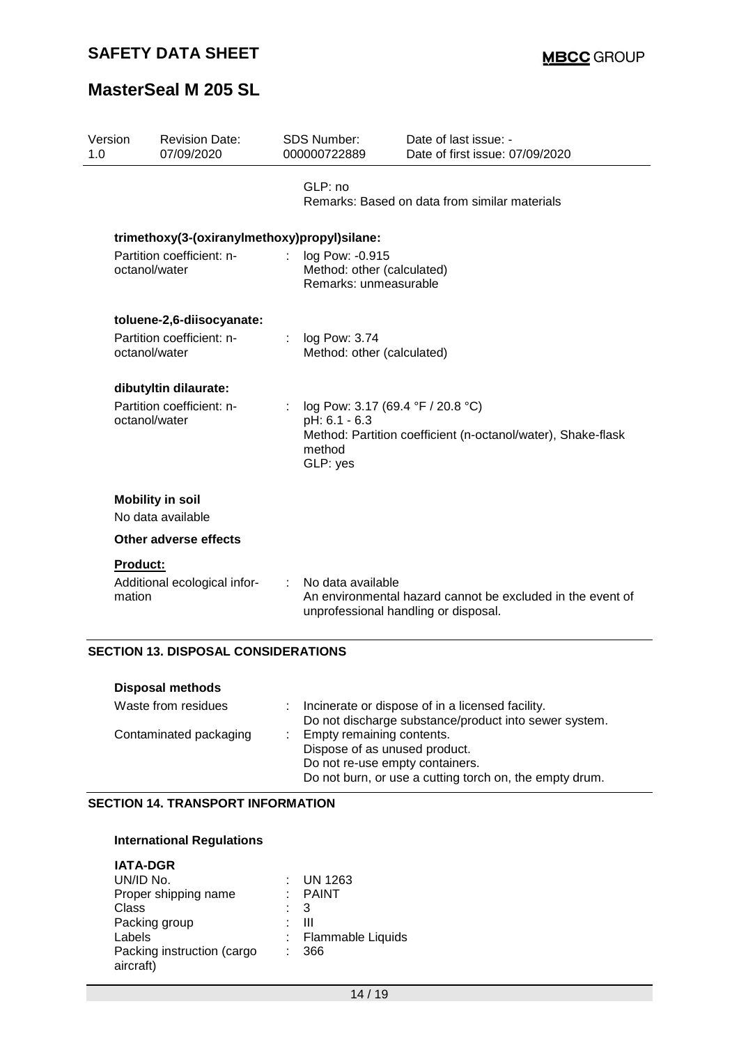| Version<br>1.0 |                    | <b>Revision Date:</b><br>07/09/2020          | SDS Number:<br>000000722889                                              | Date of last issue: -<br>Date of first issue: 07/09/2020                                           |
|----------------|--------------------|----------------------------------------------|--------------------------------------------------------------------------|----------------------------------------------------------------------------------------------------|
|                |                    |                                              | GLP: no                                                                  | Remarks: Based on data from similar materials                                                      |
|                |                    | trimethoxy(3-(oxiranylmethoxy)propyl)silane: |                                                                          |                                                                                                    |
|                | octanol/water      | Partition coefficient: n-                    | log Pow: -0.915<br>Method: other (calculated)<br>Remarks: unmeasurable   |                                                                                                    |
|                |                    | toluene-2,6-diisocyanate:                    |                                                                          |                                                                                                    |
|                | octanol/water      | Partition coefficient: n-                    | log Pow: 3.74<br>Method: other (calculated)                              |                                                                                                    |
|                |                    | dibutyltin dilaurate:                        |                                                                          |                                                                                                    |
|                | octanol/water      | Partition coefficient: n-                    | log Pow: 3.17 (69.4 °F / 20.8 °C)<br>pH: 6.1 - 6.3<br>method<br>GLP: yes | Method: Partition coefficient (n-octanol/water), Shake-flask                                       |
|                |                    | <b>Mobility in soil</b>                      |                                                                          |                                                                                                    |
|                |                    | No data available                            |                                                                          |                                                                                                    |
|                |                    | Other adverse effects                        |                                                                          |                                                                                                    |
|                | Product:<br>mation | Additional ecological infor-                 | No data available                                                        | An environmental hazard cannot be excluded in the event of<br>unprofessional handling or disposal. |

### **SECTION 13. DISPOSAL CONSIDERATIONS**

| <b>Disposal methods</b> |                                                                                                                                                          |
|-------------------------|----------------------------------------------------------------------------------------------------------------------------------------------------------|
| Waste from residues     | Incinerate or dispose of in a licensed facility.<br>Do not discharge substance/product into sewer system.                                                |
| Contaminated packaging  | Empty remaining contents.<br>Dispose of as unused product.<br>Do not re-use empty containers.<br>Do not burn, or use a cutting torch on, the empty drum. |

### **SECTION 14. TRANSPORT INFORMATION**

#### **International Regulations**

| <b>IATA-DGR</b>            |                          |
|----------------------------|--------------------------|
| UN/ID No.                  | UN 1263                  |
| Proper shipping name       | <b>PAINT</b>             |
| Class                      | 3                        |
| Packing group              | ш                        |
| Labels                     | <b>Flammable Liquids</b> |
| Packing instruction (cargo | 366                      |
| aircraft)                  |                          |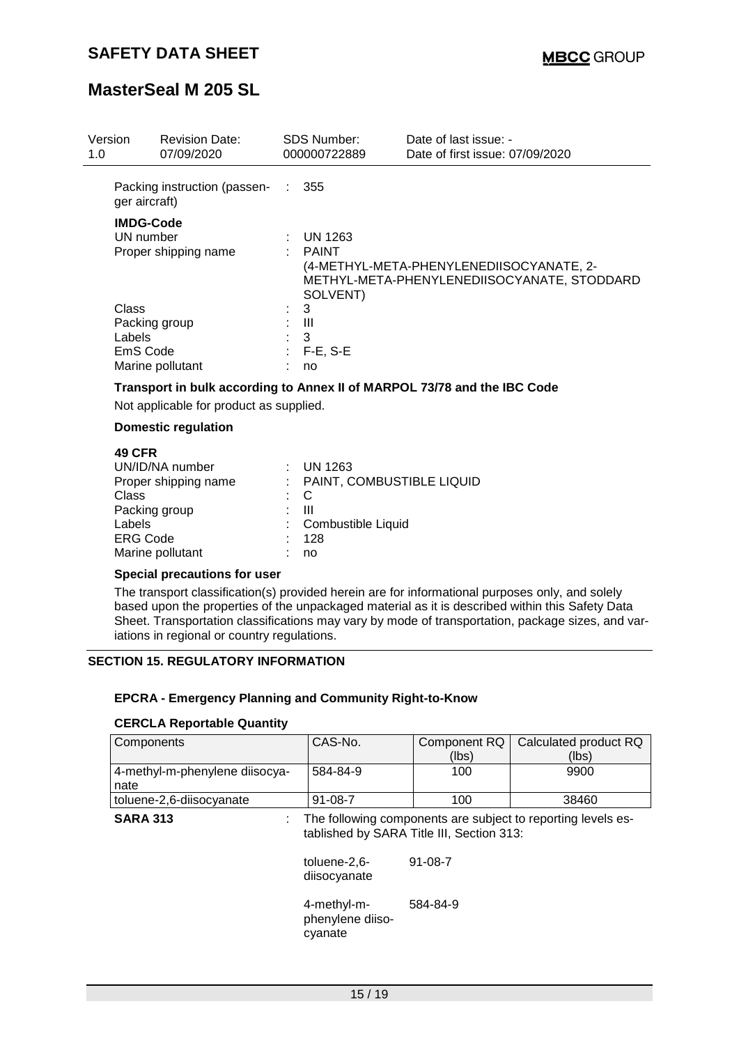| Version<br>1.0              | <b>Revision Date:</b><br>07/09/2020                   |    | <b>SDS Number:</b><br>000000722889  | Date of last issue: -<br>Date of first issue: 07/09/2020                                |
|-----------------------------|-------------------------------------------------------|----|-------------------------------------|-----------------------------------------------------------------------------------------|
| ger aircraft)               | Packing instruction (passen- : 355                    |    |                                     |                                                                                         |
|                             | <b>IMDG-Code</b><br>UN number<br>Proper shipping name |    | UN 1263<br><b>PAINT</b><br>SOLVENT) | (4-METHYL-META-PHENYLENEDIISOCYANATE, 2-<br>METHYL-META-PHENYLENEDIISOCYANATE, STODDARD |
| Class<br>Labels<br>EmS Code | Packing group<br>Marine pollutant                     | t. | 3<br>Ш<br>3<br>$F-E$ , S-E<br>no    |                                                                                         |

### **Transport in bulk according to Annex II of MARPOL 73/78 and the IBC Code**

Not applicable for product as supplied.

#### **Domestic regulation**

#### **49 CFR**

| UN/ID/NA number<br>Proper shipping name<br>Class<br>Packing group<br>Labels<br><b>ERG Code</b> | $:$ UN 1263<br>: PAINT, COMBUSTIBLE LIQUID<br>$\therefore$ C<br>ш<br>: Combustible Liquid<br>128 |
|------------------------------------------------------------------------------------------------|--------------------------------------------------------------------------------------------------|
| Marine pollutant                                                                               | no                                                                                               |

#### **Special precautions for user**

The transport classification(s) provided herein are for informational purposes only, and solely based upon the properties of the unpackaged material as it is described within this Safety Data Sheet. Transportation classifications may vary by mode of transportation, package sizes, and variations in regional or country regulations.

### **SECTION 15. REGULATORY INFORMATION**

#### **EPCRA - Emergency Planning and Community Right-to-Know**

#### **CERCLA Reportable Quantity**

| Components                     | CAS-No.       |       | Component RQ   Calculated product RQ |
|--------------------------------|---------------|-------|--------------------------------------|
|                                |               | (lbs) | (lbs)                                |
| 4-methyl-m-phenylene diisocya- | 584-84-9      | 100   | 9900                                 |
| nate                           |               |       |                                      |
| toluene-2,6-diisocyanate       | $91 - 08 - 7$ | 100   | 38460                                |

**SARA 313** : The following components are subject to reporting levels established by SARA Title III, Section 313:

> toluene-2,6 diisocyanate 91-08-7

4-methyl-mphenylene diisocyanate 584-84-9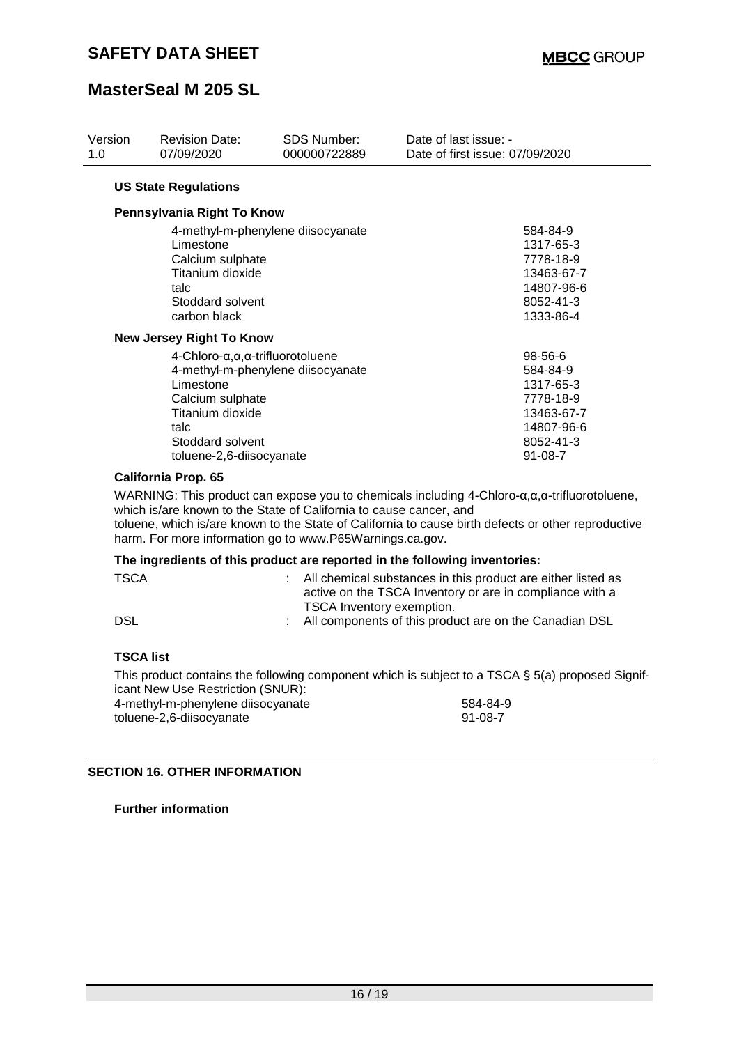| Version<br>1.0 | <b>Revision Date:</b><br>07/09/2020                                                                                                                                  | <b>SDS Number:</b><br>000000722889 | Date of last issue: -<br>Date of first issue: 07/09/2020                                                |
|----------------|----------------------------------------------------------------------------------------------------------------------------------------------------------------------|------------------------------------|---------------------------------------------------------------------------------------------------------|
|                | <b>US State Regulations</b>                                                                                                                                          |                                    |                                                                                                         |
|                | Pennsylvania Right To Know                                                                                                                                           |                                    |                                                                                                         |
|                | Limestone<br>Calcium sulphate<br>Titanium dioxide<br>talc<br>Stoddard solvent<br>carbon black                                                                        | 4-methyl-m-phenylene diisocyanate  | 584-84-9<br>1317-65-3<br>7778-18-9<br>13463-67-7<br>14807-96-6<br>8052-41-3<br>1333-86-4                |
|                | New Jersey Right To Know                                                                                                                                             |                                    |                                                                                                         |
|                | $4$ -Chloro- $\alpha, \alpha, \alpha$ -trifluorotoluene<br>Limestone<br>Calcium sulphate<br>Titanium dioxide<br>talc<br>Stoddard solvent<br>toluene-2,6-diisocyanate | 4-methyl-m-phenylene diisocyanate  | 98-56-6<br>584-84-9<br>1317-65-3<br>7778-18-9<br>13463-67-7<br>14807-96-6<br>8052-41-3<br>$91 - 08 - 7$ |

### **California Prop. 65**

WARNING: This product can expose you to chemicals including 4-Chloro-α,α,α-trifluorotoluene, which is/are known to the State of California to cause cancer, and

toluene, which is/are known to the State of California to cause birth defects or other reproductive harm. For more information go to www.P65Warnings.ca.gov.

#### **The ingredients of this product are reported in the following inventories:**

| <b>TSCA</b> | : All chemical substances in this product are either listed as<br>active on the TSCA Inventory or are in compliance with a |
|-------------|----------------------------------------------------------------------------------------------------------------------------|
| DSL         | TSCA Inventory exemption.<br>: All components of this product are on the Canadian DSL                                      |
|             |                                                                                                                            |

#### **TSCA list**

This product contains the following component which is subject to a TSCA § 5(a) proposed Significant New Use Restriction (SNUR):

| 4-methyl-m-phenylene diisocyanate | 584-84-9 |
|-----------------------------------|----------|
| toluene-2,6-diisocyanate          | 91-08-7  |

#### **SECTION 16. OTHER INFORMATION**

**Further information**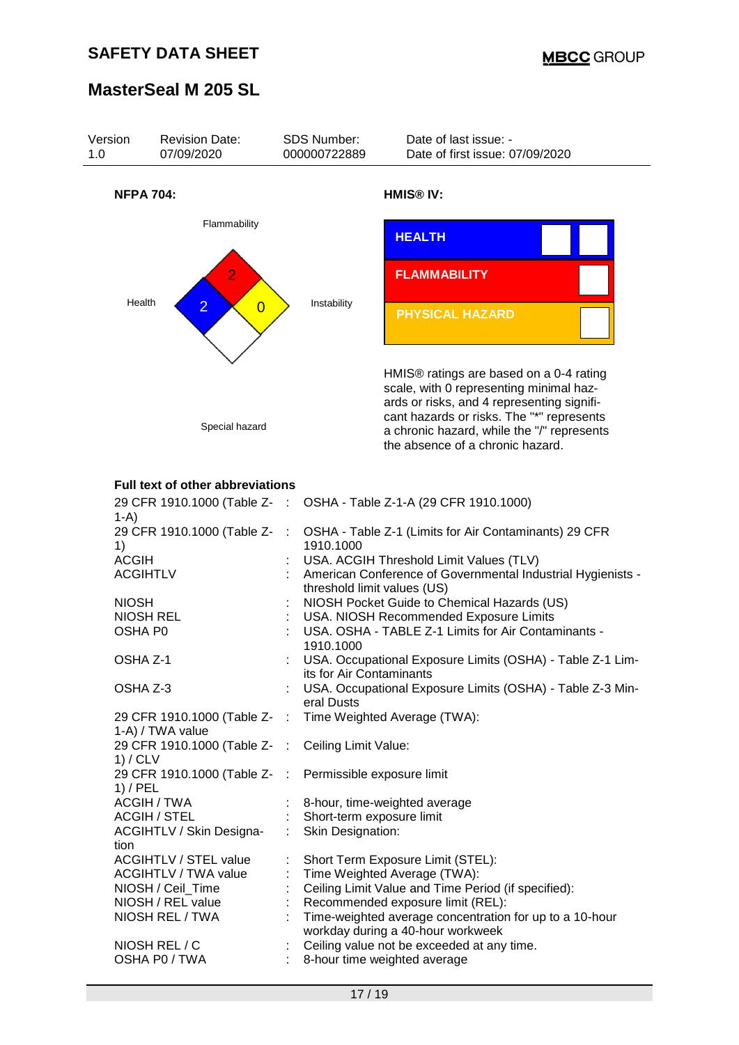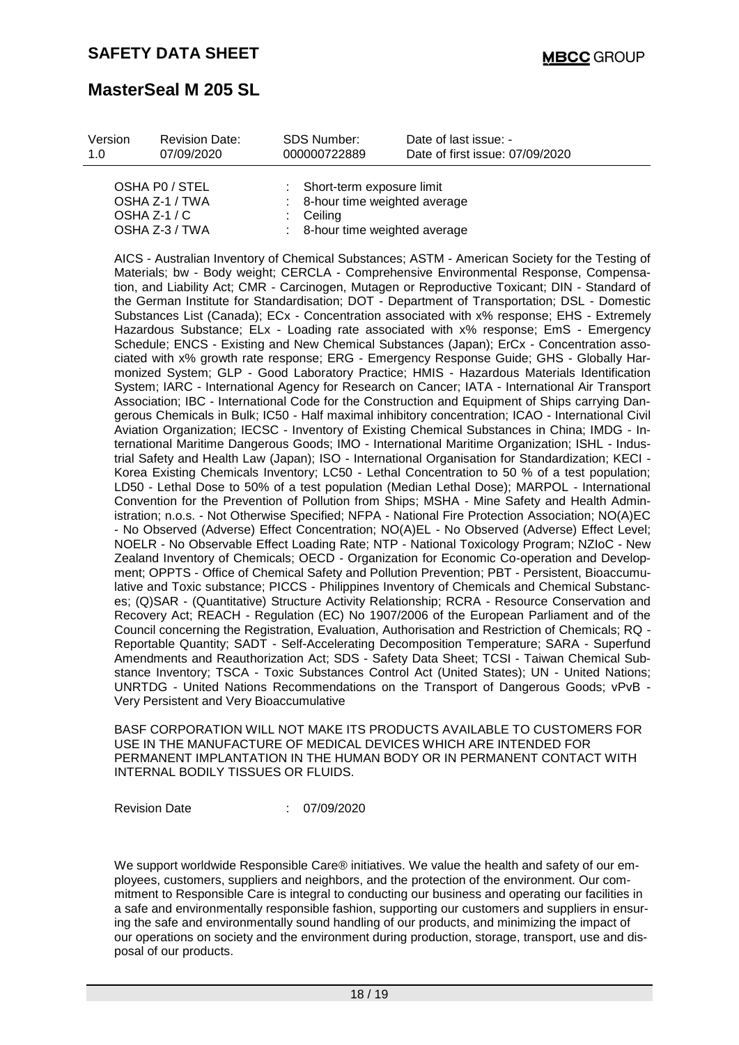| Version | <b>Revision Date:</b>            | SDS Number:  | Date of last issue: -                                       |  |
|---------|----------------------------------|--------------|-------------------------------------------------------------|--|
| 1 O     | 07/09/2020                       | 000000722889 | Date of first issue: 07/09/2020                             |  |
|         | OSHA PO / STEL<br>OSHA Z-1 / TWA |              | : Short-term exposure limit<br>8-hour time weighted average |  |

| OSHA Z-1 / TWA | : 8-hour time weighted average |
|----------------|--------------------------------|
| OSHA Z-1 / C   | $\therefore$ Ceiling           |
| OSHA Z-3 / TWA | : 8-hour time weighted average |

AICS - Australian Inventory of Chemical Substances; ASTM - American Society for the Testing of Materials; bw - Body weight; CERCLA - Comprehensive Environmental Response, Compensation, and Liability Act; CMR - Carcinogen, Mutagen or Reproductive Toxicant; DIN - Standard of the German Institute for Standardisation; DOT - Department of Transportation; DSL - Domestic Substances List (Canada); ECx - Concentration associated with x% response; EHS - Extremely Hazardous Substance; ELx - Loading rate associated with x% response; EmS - Emergency Schedule; ENCS - Existing and New Chemical Substances (Japan); ErCx - Concentration associated with x% growth rate response; ERG - Emergency Response Guide; GHS - Globally Harmonized System; GLP - Good Laboratory Practice; HMIS - Hazardous Materials Identification System; IARC - International Agency for Research on Cancer; IATA - International Air Transport Association; IBC - International Code for the Construction and Equipment of Ships carrying Dangerous Chemicals in Bulk; IC50 - Half maximal inhibitory concentration; ICAO - International Civil Aviation Organization; IECSC - Inventory of Existing Chemical Substances in China; IMDG - International Maritime Dangerous Goods; IMO - International Maritime Organization; ISHL - Industrial Safety and Health Law (Japan); ISO - International Organisation for Standardization; KECI - Korea Existing Chemicals Inventory; LC50 - Lethal Concentration to 50 % of a test population; LD50 - Lethal Dose to 50% of a test population (Median Lethal Dose); MARPOL - International Convention for the Prevention of Pollution from Ships; MSHA - Mine Safety and Health Administration; n.o.s. - Not Otherwise Specified; NFPA - National Fire Protection Association; NO(A)EC - No Observed (Adverse) Effect Concentration; NO(A)EL - No Observed (Adverse) Effect Level; NOELR - No Observable Effect Loading Rate; NTP - National Toxicology Program; NZIoC - New Zealand Inventory of Chemicals; OECD - Organization for Economic Co-operation and Development; OPPTS - Office of Chemical Safety and Pollution Prevention; PBT - Persistent, Bioaccumulative and Toxic substance; PICCS - Philippines Inventory of Chemicals and Chemical Substances; (Q)SAR - (Quantitative) Structure Activity Relationship; RCRA - Resource Conservation and Recovery Act; REACH - Regulation (EC) No 1907/2006 of the European Parliament and of the Council concerning the Registration, Evaluation, Authorisation and Restriction of Chemicals; RQ - Reportable Quantity; SADT - Self-Accelerating Decomposition Temperature; SARA - Superfund Amendments and Reauthorization Act; SDS - Safety Data Sheet; TCSI - Taiwan Chemical Substance Inventory; TSCA - Toxic Substances Control Act (United States); UN - United Nations; UNRTDG - United Nations Recommendations on the Transport of Dangerous Goods; vPvB - Very Persistent and Very Bioaccumulative

BASF CORPORATION WILL NOT MAKE ITS PRODUCTS AVAILABLE TO CUSTOMERS FOR USE IN THE MANUFACTURE OF MEDICAL DEVICES WHICH ARE INTENDED FOR PERMANENT IMPLANTATION IN THE HUMAN BODY OR IN PERMANENT CONTACT WITH INTERNAL BODILY TISSUES OR FLUIDS.

Revision Date : 07/09/2020

We support worldwide Responsible Care® initiatives. We value the health and safety of our employees, customers, suppliers and neighbors, and the protection of the environment. Our commitment to Responsible Care is integral to conducting our business and operating our facilities in a safe and environmentally responsible fashion, supporting our customers and suppliers in ensuring the safe and environmentally sound handling of our products, and minimizing the impact of our operations on society and the environment during production, storage, transport, use and disposal of our products.